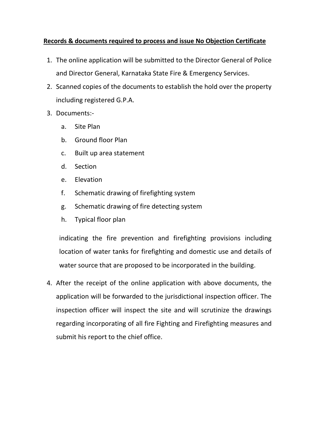## **Records & documents required to process and issue No Objection Certificate**

- 1. The online application will be submitted to the Director General of Police and Director General, Karnataka State Fire & Emergency Services.
- 2. Scanned copies of the documents to establish the hold over the property including registered G.P.A.
- 3. Documents:
	- a. Site Plan
	- b. Ground floor Plan
	- c. Built up area statement
	- d. Section
	- e. Elevation
	- f. Schematic drawing of firefighting system
	- g. Schematic drawing of fire detecting system
	- h. Typical floor plan

indicating the fire prevention and firefighting provisions including location of water tanks for firefighting and domestic use and details of water source that are proposed to be incorporated in the building.

4. After the receipt of the online application with above documents, the application will be forwarded to the jurisdictional inspection officer. The inspection officer will inspect the site and will scrutinize the drawings regarding incorporating of all fire Fighting and Firefighting measures and submit his report to the chief office.